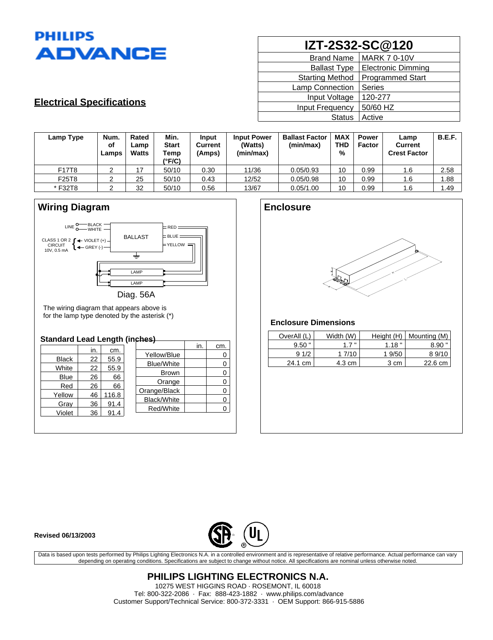

| IZT-2S32-SC@120        |                           |  |  |  |
|------------------------|---------------------------|--|--|--|
| <b>Brand Name</b>      | <b>MARK 7 0-10V</b>       |  |  |  |
| <b>Ballast Type</b>    | <b>Electronic Dimming</b> |  |  |  |
| <b>Starting Method</b> | <b>Programmed Start</b>   |  |  |  |
| Lamp Connection        | <b>Series</b>             |  |  |  |
| Input Voltage          | 120-277                   |  |  |  |
| <b>Input Frequency</b> | 50/60 HZ                  |  |  |  |
| <b>Status</b>          | Active                    |  |  |  |

# **Electrical Specifications**

| Lamp Type | Num.<br>of<br>Lamps | Rated<br>Lamp<br>Watts | Min.<br><b>Start</b><br>Temp<br>(°F/C) | Input<br>Current<br>(Amps) | <b>Input Power</b><br>(Watts)<br>(min/max) | <b>Ballast Factor</b><br>(min/max) | <b>MAX</b><br>THD<br>% | <b>Power</b><br><b>Factor</b> | Lamp<br><b>Current</b><br><b>Crest Factor</b> | <b>B.E.F.</b> |
|-----------|---------------------|------------------------|----------------------------------------|----------------------------|--------------------------------------------|------------------------------------|------------------------|-------------------------------|-----------------------------------------------|---------------|
| F17T8     |                     | 17                     | 50/10                                  | 0.30                       | 11/36                                      | 0.05/0.93                          | 10                     | 0.99                          | 1.6                                           | 2.58          |
| F25T8     | ∠                   | 25                     | 50/10                                  | 0.43                       | 12/52                                      | 0.05/0.98                          | 10                     | 0.99                          | 1.6                                           | 1.88          |
| *F32T8    |                     | 32                     | 50/10                                  | 0.56                       | 13/67                                      | 0.05/1.00                          | 10                     | 0.99                          | 1.6                                           | 1.49          |

# **Wiring Diagram**



The wiring diagram that appears above is for the lamp type denoted by the asterisk  $(*)$ 

### **Standard Lead Length (inches)**

|              |     |       |                   | in. | cm. |
|--------------|-----|-------|-------------------|-----|-----|
|              | in. | cm.   | Yellow/Blue       |     |     |
| <b>Black</b> | 22  | 55.9  |                   |     |     |
| White        | 22  | 55.9  | <b>Blue/White</b> |     | 0   |
|              |     |       | <b>Brown</b>      |     | 0   |
| Blue         | 26  | 66    | Orange            |     | 0   |
| Red          | 26  | 66    |                   |     |     |
| Yellow       | 46  | 116.8 | Orange/Black      |     | 0   |
|              |     |       | Black/White       |     | 0   |
| Gray         | 36  | 91.4  | Red/White         |     |     |
| Violet       | 36  | 91.4  |                   |     |     |
|              |     |       |                   |     |     |

## **Enclosure**



## **Enclosure Dimensions**

| OverAll (L) | Width (W) | Height $(H)$ | Mounting (M) |
|-------------|-----------|--------------|--------------|
| $9.50$ "    | $1.7$ "   | 1.18"        | $8.90$ "     |
| 91/2        | 1 7/10    | 1 9/50       | 89/10        |
| 24.1 cm     | 4.3 cm    | 3 cm         | 22.6 cm      |

#### **Revised 06/13/2003**



Data is based upon tests performed by Philips Lighting Electronics N.A. in a controlled environment and is representative of relative performance. Actual performance can vary depending on operating conditions. Specifications are subject to change without notice. All specifications are nominal unless otherwise noted.

> **PHILIPS LIGHTING ELECTRONICS N.A.** 10275 WEST HIGGINS ROAD · ROSEMONT, IL 60018 Tel: 800-322-2086 · Fax: 888-423-1882 · www.philips.com/advance Customer Support/Technical Service: 800-372-3331 · OEM Support: 866-915-5886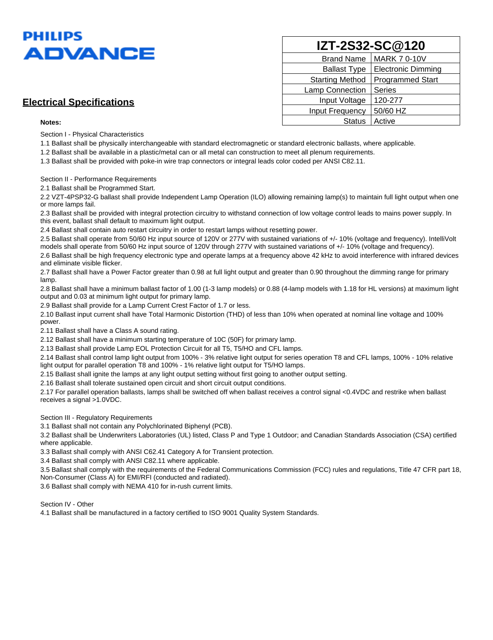

# **Electrical Specifications**

#### **Notes:**

Section I - Physical Characteristics

1.1 Ballast shall be physically interchangeable with standard electromagnetic or standard electronic ballasts, where applicable.

1.2 Ballast shall be available in a plastic/metal can or all metal can construction to meet all plenum requirements.

1.3 Ballast shall be provided with poke-in wire trap connectors or integral leads color coded per ANSI C82.11.

#### Section II - Performance Requirements

2.1 Ballast shall be Programmed Start.

2.2 VZT-4PSP32-G ballast shall provide Independent Lamp Operation (ILO) allowing remaining lamp(s) to maintain full light output when one or more lamps fail.

2.3 Ballast shall be provided with integral protection circuitry to withstand connection of low voltage control leads to mains power supply. In this event, ballast shall default to maximum light output.

2.4 Ballast shall contain auto restart circuitry in order to restart lamps without resetting power.

2.5 Ballast shall operate from 50/60 Hz input source of 120V or 277V with sustained variations of +/- 10% (voltage and frequency). IntelliVolt models shall operate from 50/60 Hz input source of 120V through 277V with sustained variations of +/- 10% (voltage and frequency).

2.6 Ballast shall be high frequency electronic type and operate lamps at a frequency above 42 kHz to avoid interference with infrared devices and eliminate visible flicker.

2.7 Ballast shall have a Power Factor greater than 0.98 at full light output and greater than 0.90 throughout the dimming range for primary lamp.

2.8 Ballast shall have a minimum ballast factor of 1.00 (1-3 lamp models) or 0.88 (4-lamp models with 1.18 for HL versions) at maximum light output and 0.03 at minimum light output for primary lamp.

2.9 Ballast shall provide for a Lamp Current Crest Factor of 1.7 or less.

2.10 Ballast input current shall have Total Harmonic Distortion (THD) of less than 10% when operated at nominal line voltage and 100% power.

2.11 Ballast shall have a Class A sound rating.

2.12 Ballast shall have a minimum starting temperature of 10C (50F) for primary lamp.

2.13 Ballast shall provide Lamp EOL Protection Circuit for all T5, T5/HO and CFL lamps.

2.14 Ballast shall control lamp light output from 100% - 3% relative light output for series operation T8 and CFL lamps, 100% - 10% relative light output for parallel operation T8 and 100% - 1% relative light output for T5/HO lamps.

2.15 Ballast shall ignite the lamps at any light output setting without first going to another output setting.

2.16 Ballast shall tolerate sustained open circuit and short circuit output conditions.

2.17 For parallel operation ballasts, lamps shall be switched off when ballast receives a control signal <0.4VDC and restrike when ballast receives a signal >1.0VDC.

#### Section III - Regulatory Requirements

3.1 Ballast shall not contain any Polychlorinated Biphenyl (PCB).

3.2 Ballast shall be Underwriters Laboratories (UL) listed, Class P and Type 1 Outdoor; and Canadian Standards Association (CSA) certified where applicable.

3.3 Ballast shall comply with ANSI C62.41 Category A for Transient protection.

3.4 Ballast shall comply with ANSI C82.11 where applicable.

3.5 Ballast shall comply with the requirements of the Federal Communications Commission (FCC) rules and regulations, Title 47 CFR part 18, Non-Consumer (Class A) for EMI/RFI (conducted and radiated).

3.6 Ballast shall comply with NEMA 410 for in-rush current limits.

Section IV - Other

4.1 Ballast shall be manufactured in a factory certified to ISO 9001 Quality System Standards.

| IZT-2S32-SC@120        |                           |  |  |  |
|------------------------|---------------------------|--|--|--|
| <b>Brand Name</b>      | <b>MARK 7 0-10V</b>       |  |  |  |
| <b>Ballast Type</b>    | <b>Electronic Dimming</b> |  |  |  |
| <b>Starting Method</b> | Programmed Start          |  |  |  |
| Lamp Connection        | <b>Series</b>             |  |  |  |
| Input Voltage          | 120-277                   |  |  |  |
| Input Frequency        | 50/60 HZ                  |  |  |  |
| <b>Status</b>          | Active                    |  |  |  |